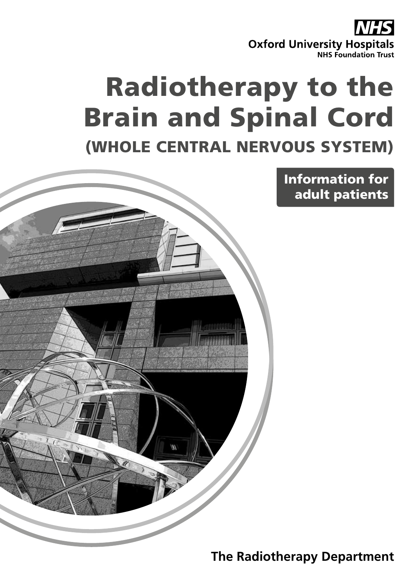**Oxford University Hospitals NHS Foundation Trust** 

# Radiotherapy to the Brain and Spinal Cord

(WHOLE CENTRAL NERVOUS SYSTEM)



**The Radiotherapy Department**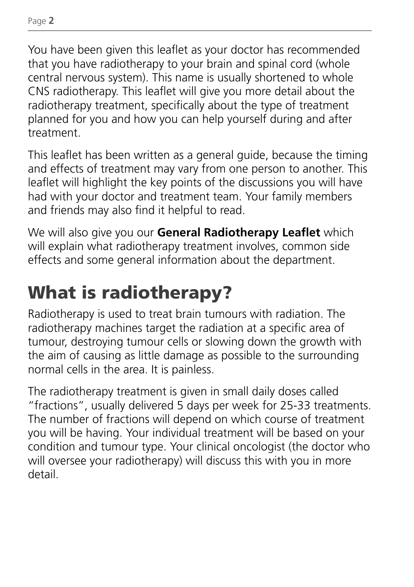You have been given this leaflet as your doctor has recommended that you have radiotherapy to your brain and spinal cord (whole central nervous system). This name is usually shortened to whole CNS radiotherapy. This leaflet will give you more detail about the radiotherapy treatment, specifically about the type of treatment planned for you and how you can help yourself during and after treatment.

This leaflet has been written as a general guide, because the timing and effects of treatment may vary from one person to another. This leaflet will highlight the key points of the discussions you will have had with your doctor and treatment team. Your family members and friends may also find it helpful to read.

We will also give you our **General Radiotherapy Leaflet** which will explain what radiotherapy treatment involves, common side effects and some general information about the department.

# What is radiotherapy?

Radiotherapy is used to treat brain tumours with radiation. The radiotherapy machines target the radiation at a specific area of tumour, destroying tumour cells or slowing down the growth with the aim of causing as little damage as possible to the surrounding normal cells in the area. It is painless.

The radiotherapy treatment is given in small daily doses called "fractions", usually delivered 5 days per week for 25-33 treatments. The number of fractions will depend on which course of treatment you will be having. Your individual treatment will be based on your condition and tumour type. Your clinical oncologist (the doctor who will oversee your radiotherapy) will discuss this with you in more detail.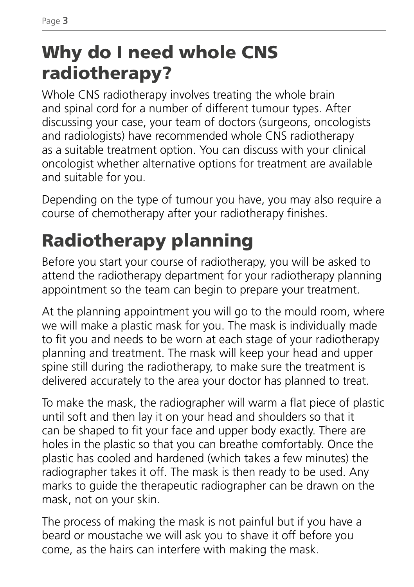# Why do I need whole CNS radiotherapy?

Whole CNS radiotherapy involves treating the whole brain and spinal cord for a number of different tumour types. After discussing your case, your team of doctors (surgeons, oncologists and radiologists) have recommended whole CNS radiotherapy as a suitable treatment option. You can discuss with your clinical oncologist whether alternative options for treatment are available and suitable for you.

Depending on the type of tumour you have, you may also require a course of chemotherapy after your radiotherapy finishes.

# Radiotherapy planning

Before you start your course of radiotherapy, you will be asked to attend the radiotherapy department for your radiotherapy planning appointment so the team can begin to prepare your treatment.

At the planning appointment you will go to the mould room, where we will make a plastic mask for you. The mask is individually made to fit you and needs to be worn at each stage of your radiotherapy planning and treatment. The mask will keep your head and upper spine still during the radiotherapy, to make sure the treatment is delivered accurately to the area your doctor has planned to treat.

To make the mask, the radiographer will warm a flat piece of plastic until soft and then lay it on your head and shoulders so that it can be shaped to fit your face and upper body exactly. There are holes in the plastic so that you can breathe comfortably. Once the plastic has cooled and hardened (which takes a few minutes) the radiographer takes it off. The mask is then ready to be used. Any marks to guide the therapeutic radiographer can be drawn on the mask, not on your skin.

The process of making the mask is not painful but if you have a beard or moustache we will ask you to shave it off before you come, as the hairs can interfere with making the mask.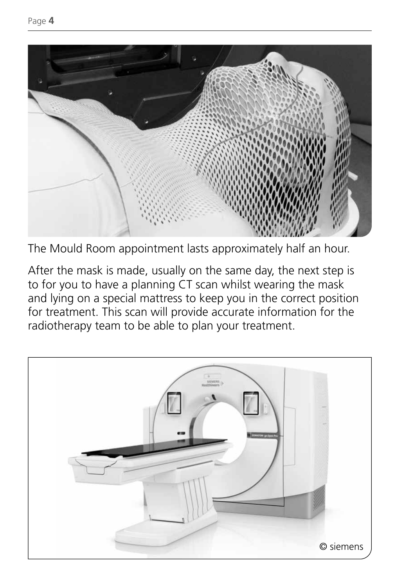

The Mould Room appointment lasts approximately half an hour.

After the mask is made, usually on the same day, the next step is to for you to have a planning CT scan whilst wearing the mask and lying on a special mattress to keep you in the correct position for treatment. This scan will provide accurate information for the radiotherapy team to be able to plan your treatment.

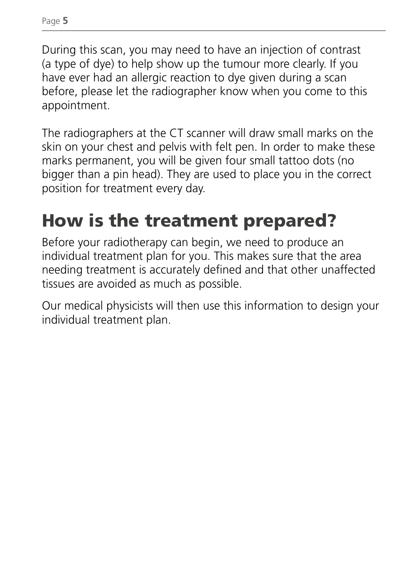During this scan, you may need to have an injection of contrast (a type of dye) to help show up the tumour more clearly. If you have ever had an allergic reaction to dye given during a scan before, please let the radiographer know when you come to this appointment.

The radiographers at the CT scanner will draw small marks on the skin on your chest and pelvis with felt pen. In order to make these marks permanent, you will be given four small tattoo dots (no bigger than a pin head). They are used to place you in the correct position for treatment every day.

# How is the treatment prepared?

Before your radiotherapy can begin, we need to produce an individual treatment plan for you. This makes sure that the area needing treatment is accurately defined and that other unaffected tissues are avoided as much as possible.

Our medical physicists will then use this information to design your individual treatment plan.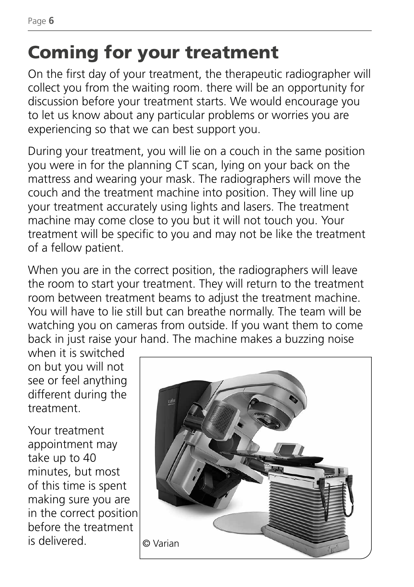# Coming for your treatment

On the first day of your treatment, the therapeutic radiographer will collect you from the waiting room. there will be an opportunity for discussion before your treatment starts. We would encourage you to let us know about any particular problems or worries you are experiencing so that we can best support you.

During your treatment, you will lie on a couch in the same position you were in for the planning CT scan, lying on your back on the mattress and wearing your mask. The radiographers will move the couch and the treatment machine into position. They will line up your treatment accurately using lights and lasers. The treatment machine may come close to you but it will not touch you. Your treatment will be specific to you and may not be like the treatment of a fellow patient.

When you are in the correct position, the radiographers will leave the room to start your treatment. They will return to the treatment room between treatment beams to adjust the treatment machine. You will have to lie still but can breathe normally. The team will be watching you on cameras from outside. If you want them to come back in just raise your hand. The machine makes a buzzing noise

when it is switched on but you will not see or feel anything different during the treatment.

Your treatment appointment may take up to 40 minutes, but most of this time is spent making sure you are in the correct position before the treatment is delivered.  $\log \sqrt{a}$ 

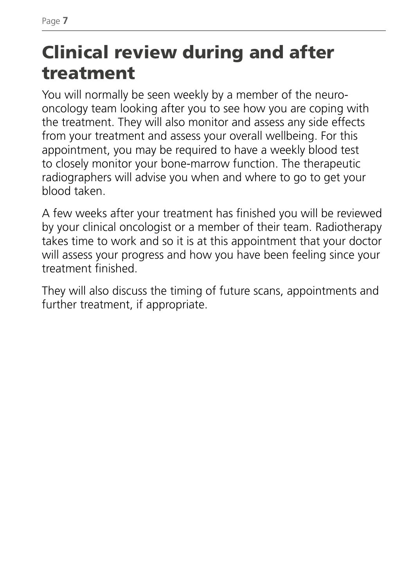# Clinical review during and after treatment

You will normally be seen weekly by a member of the neurooncology team looking after you to see how you are coping with the treatment. They will also monitor and assess any side effects from your treatment and assess your overall wellbeing. For this appointment, you may be required to have a weekly blood test to closely monitor your bone-marrow function. The therapeutic radiographers will advise you when and where to go to get your blood taken.

A few weeks after your treatment has finished you will be reviewed by your clinical oncologist or a member of their team. Radiotherapy takes time to work and so it is at this appointment that your doctor will assess your progress and how you have been feeling since your treatment finished.

They will also discuss the timing of future scans, appointments and further treatment, if appropriate.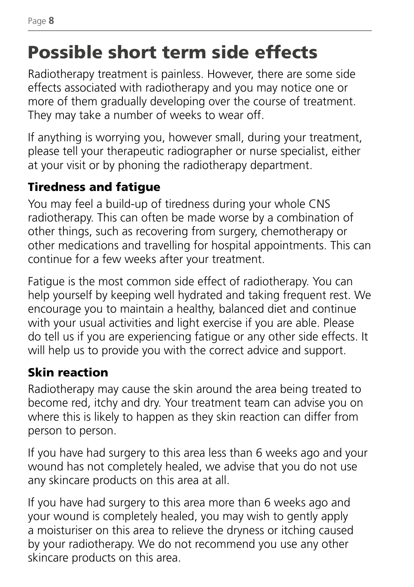# Possible short term side effects

Radiotherapy treatment is painless. However, there are some side effects associated with radiotherapy and you may notice one or more of them gradually developing over the course of treatment. They may take a number of weeks to wear off.

If anything is worrying you, however small, during your treatment, please tell your therapeutic radiographer or nurse specialist, either at your visit or by phoning the radiotherapy department.

### Tiredness and fatigue

You may feel a build-up of tiredness during your whole CNS radiotherapy. This can often be made worse by a combination of other things, such as recovering from surgery, chemotherapy or other medications and travelling for hospital appointments. This can continue for a few weeks after your treatment.

Fatigue is the most common side effect of radiotherapy. You can help yourself by keeping well hydrated and taking frequent rest. We encourage you to maintain a healthy, balanced diet and continue with your usual activities and light exercise if you are able. Please do tell us if you are experiencing fatigue or any other side effects. It will help us to provide you with the correct advice and support.

### Skin reaction

Radiotherapy may cause the skin around the area being treated to become red, itchy and dry. Your treatment team can advise you on where this is likely to happen as they skin reaction can differ from person to person.

If you have had surgery to this area less than 6 weeks ago and your wound has not completely healed, we advise that you do not use any skincare products on this area at all.

If you have had surgery to this area more than 6 weeks ago and your wound is completely healed, you may wish to gently apply a moisturiser on this area to relieve the dryness or itching caused by your radiotherapy. We do not recommend you use any other skincare products on this area.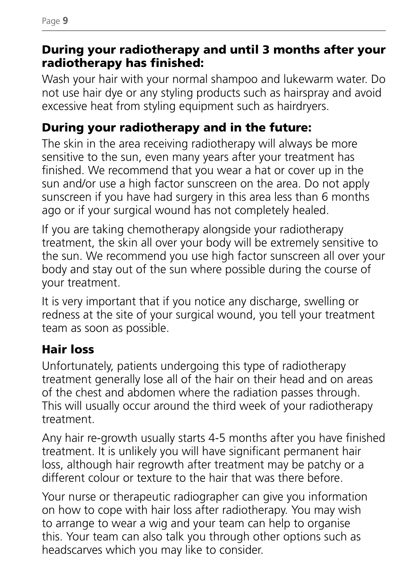#### During your radiotherapy and until 3 months after your radiotherapy has finished:

Wash your hair with your normal shampoo and lukewarm water. Do not use hair dye or any styling products such as hairspray and avoid excessive heat from styling equipment such as hairdryers.

#### During your radiotherapy and in the future:

The skin in the area receiving radiotherapy will always be more sensitive to the sun, even many years after your treatment has finished. We recommend that you wear a hat or cover up in the sun and/or use a high factor sunscreen on the area. Do not apply sunscreen if you have had surgery in this area less than 6 months ago or if your surgical wound has not completely healed.

If you are taking chemotherapy alongside your radiotherapy treatment, the skin all over your body will be extremely sensitive to the sun. We recommend you use high factor sunscreen all over your body and stay out of the sun where possible during the course of your treatment.

It is very important that if you notice any discharge, swelling or redness at the site of your surgical wound, you tell your treatment team as soon as possible.

### Hair loss

Unfortunately, patients undergoing this type of radiotherapy treatment generally lose all of the hair on their head and on areas of the chest and abdomen where the radiation passes through. This will usually occur around the third week of your radiotherapy treatment.

Any hair re-growth usually starts 4-5 months after you have finished treatment. It is unlikely you will have significant permanent hair loss, although hair regrowth after treatment may be patchy or a different colour or texture to the hair that was there before.

Your nurse or therapeutic radiographer can give you information on how to cope with hair loss after radiotherapy. You may wish to arrange to wear a wig and your team can help to organise this. Your team can also talk you through other options such as headscarves which you may like to consider.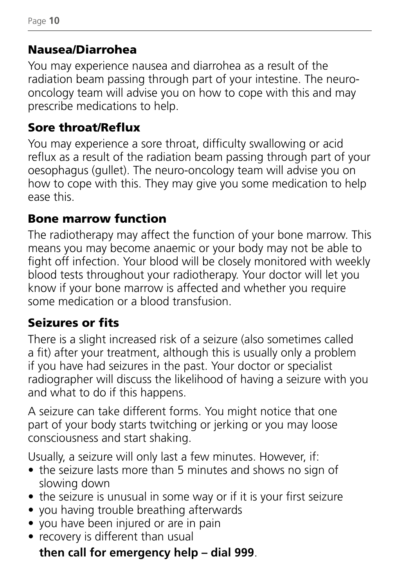#### Nausea/Diarrohea

You may experience nausea and diarrohea as a result of the radiation beam passing through part of your intestine. The neurooncology team will advise you on how to cope with this and may prescribe medications to help.

#### Sore throat/Reflux

You may experience a sore throat, difficulty swallowing or acid reflux as a result of the radiation beam passing through part of your oesophagus (gullet). The neuro-oncology team will advise you on how to cope with this. They may give you some medication to help ease this.

#### Bone marrow function

The radiotherapy may affect the function of your bone marrow. This means you may become anaemic or your body may not be able to fight off infection. Your blood will be closely monitored with weekly blood tests throughout your radiotherapy. Your doctor will let you know if your bone marrow is affected and whether you require some medication or a blood transfusion.

### Seizures or fits

There is a slight increased risk of a seizure (also sometimes called a fit) after your treatment, although this is usually only a problem if you have had seizures in the past. Your doctor or specialist radiographer will discuss the likelihood of having a seizure with you and what to do if this happens.

A seizure can take different forms. You might notice that one part of your body starts twitching or jerking or you may loose consciousness and start shaking.

Usually, a seizure will only last a few minutes. However, if:

- the seizure lasts more than 5 minutes and shows no sign of slowing down
- the seizure is unusual in some way or if it is your first seizure
- you having trouble breathing afterwards
- you have been injured or are in pain
- recovery is different than usual

### **then call for emergency help – dial 999**.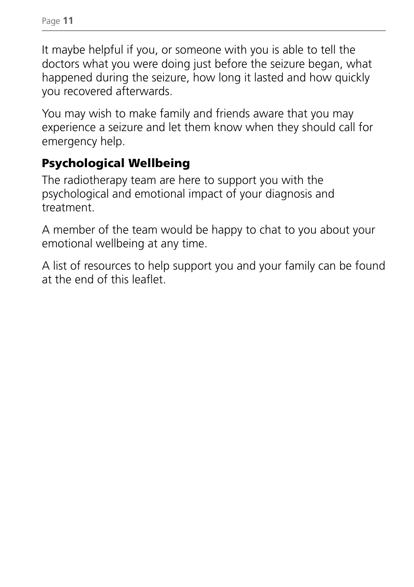Page **11**

It maybe helpful if you, or someone with you is able to tell the doctors what you were doing just before the seizure began, what happened during the seizure, how long it lasted and how quickly you recovered afterwards.

You may wish to make family and friends aware that you may experience a seizure and let them know when they should call for emergency help.

#### Psychological Wellbeing

The radiotherapy team are here to support you with the psychological and emotional impact of your diagnosis and treatment.

A member of the team would be happy to chat to you about your emotional wellbeing at any time.

A list of resources to help support you and your family can be found at the end of this leaflet.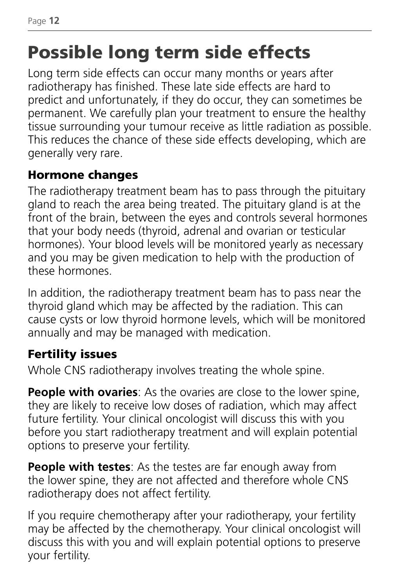# Possible long term side effects

Long term side effects can occur many months or years after radiotherapy has finished. These late side effects are hard to predict and unfortunately, if they do occur, they can sometimes be permanent. We carefully plan your treatment to ensure the healthy tissue surrounding your tumour receive as little radiation as possible. This reduces the chance of these side effects developing, which are generally very rare.

#### Hormone changes

The radiotherapy treatment beam has to pass through the pituitary gland to reach the area being treated. The pituitary gland is at the front of the brain, between the eyes and controls several hormones that your body needs (thyroid, adrenal and ovarian or testicular hormones). Your blood levels will be monitored yearly as necessary and you may be given medication to help with the production of these hormones.

In addition, the radiotherapy treatment beam has to pass near the thyroid gland which may be affected by the radiation. This can cause cysts or low thyroid hormone levels, which will be monitored annually and may be managed with medication.

#### Fertility issues

Whole CNS radiotherapy involves treating the whole spine.

**People with ovaries:** As the ovaries are close to the lower spine, they are likely to receive low doses of radiation, which may affect future fertility. Your clinical oncologist will discuss this with you before you start radiotherapy treatment and will explain potential options to preserve your fertility.

**People with testes**: As the testes are far enough away from the lower spine, they are not affected and therefore whole CNS radiotherapy does not affect fertility.

If you require chemotherapy after your radiotherapy, your fertility may be affected by the chemotherapy. Your clinical oncologist will discuss this with you and will explain potential options to preserve your fertility.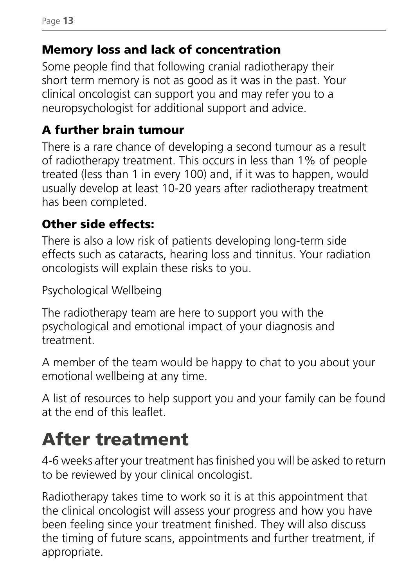#### Memory loss and lack of concentration

Some people find that following cranial radiotherapy their short term memory is not as good as it was in the past. Your clinical oncologist can support you and may refer you to a neuropsychologist for additional support and advice.

#### A further brain tumour

There is a rare chance of developing a second tumour as a result of radiotherapy treatment. This occurs in less than 1% of people treated (less than 1 in every 100) and, if it was to happen, would usually develop at least 10-20 years after radiotherapy treatment has been completed.

#### Other side effects:

There is also a low risk of patients developing long-term side effects such as cataracts, hearing loss and tinnitus. Your radiation oncologists will explain these risks to you.

Psychological Wellbeing

The radiotherapy team are here to support you with the psychological and emotional impact of your diagnosis and treatment.

A member of the team would be happy to chat to you about your emotional wellbeing at any time.

A list of resources to help support you and your family can be found at the end of this leaflet.

# After treatment

4-6 weeks after your treatment has finished you will be asked to return to be reviewed by your clinical oncologist.

Radiotherapy takes time to work so it is at this appointment that the clinical oncologist will assess your progress and how you have been feeling since your treatment finished. They will also discuss the timing of future scans, appointments and further treatment, if appropriate.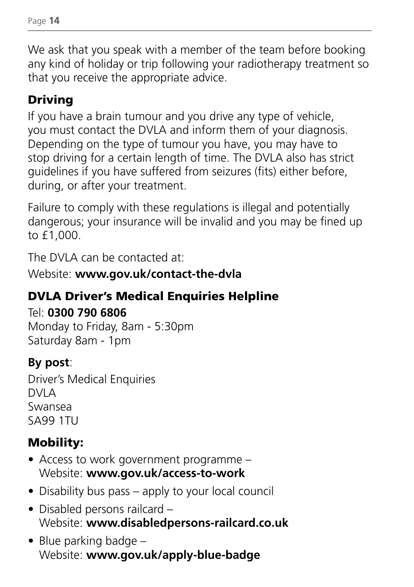We ask that you speak with a member of the team before booking any kind of holiday or trip following your radiotherapy treatment so that you receive the appropriate advice.

### Driving

If you have a brain tumour and you drive any type of vehicle, you must contact the DVLA and inform them of your diagnosis. Depending on the type of tumour you have, you may have to stop driving for a certain length of time. The DVLA also has strict guidelines if you have suffered from seizures (fits) either before, during, or after your treatment.

Failure to comply with these regulations is illegal and potentially dangerous; your insurance will be invalid and you may be fined up to £1,000.

The DVLA can be contacted at:

Website: **www.gov.uk/contact-the-dvla**

### DVLA Driver's Medical Enquiries Helpline

#### Tel: **0300 790 6806**

Monday to Friday, 8am - 5:30pm Saturday 8am - 1pm

### **By post**:

Driver's Medical Enquiries  $DVIA$ Swansea SA99 1TU

### Mobility:

- Access to work government programme Website: **www.gov.uk/access-to-work**
- Disability bus pass apply to your local council
- Disabled persons railcard Website: **www.disabledpersons-railcard.co.uk**
- Blue parking badge Website: **www.gov.uk/apply-blue-badge**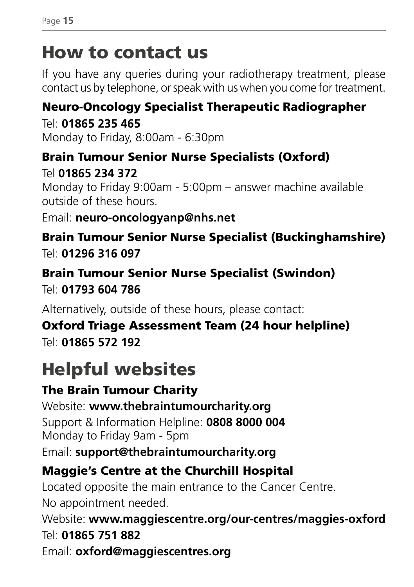## How to contact us

If you have any queries during your radiotherapy treatment, please contact us by telephone, or speak with us when you come for treatment.

### Neuro-Oncology Specialist Therapeutic Radiographer

Tel: **01865 235 465** Monday to Friday, 8:00am - 6:30pm

Brain Tumour Senior Nurse Specialists (Oxford) Tel **01865 234 372** Monday to Friday 9:00am - 5:00pm – answer machine available outside of these hours.

Email: **neuro-oncologyanp@nhs.net**

Brain Tumour Senior Nurse Specialist (Buckinghamshire) Tel: **01296 316 097**

Brain Tumour Senior Nurse Specialist (Swindon) Tel: **01793 604 786**

Alternatively, outside of these hours, please contact:

Oxford Triage Assessment Team (24 hour helpline) Tel: **01865 572 192**

# Helpful websites

### The Brain Tumour Charity

Website: **www.thebraintumourcharity.org** Support & Information Helpline: **0808 8000 004** Monday to Friday 9am - 5pm

Email: **support@thebraintumourcharity.org**

### Maggie's Centre at the Churchill Hospital

Located opposite the main entrance to the Cancer Centre. No appointment needed.

Website: **www.maggiescentre.org/our-centres/maggies-oxford** Tel: **01865 751 882**

Email: **oxford@maggiescentres.org**